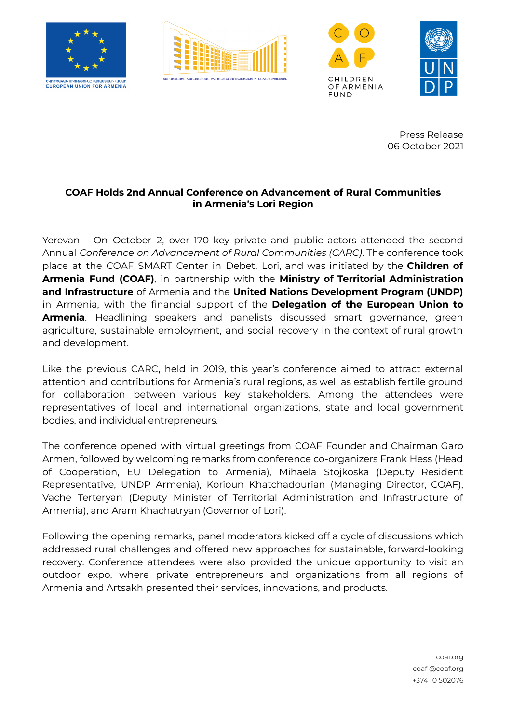







Press Release 06 October 2021

## **COAF Holds 2nd Annual Conference on Advancement of Rural Communities in Armenia's Lori Region**

Yerevan - On October 2, over 170 key private and public actors attended the second Annual *Conference on Advancement of Rural Communities (CARC)*. The conference took place at the COAF SMART Center in Debet, Lori, and was initiated by the **Children of Armenia Fund (COAF)**, in partnership with the **Ministry of Territorial Administration and Infrastructure** of Armenia and the **United Nations Development Program (UNDP)** in Armenia, with the financial support of the **Delegation of the European Union to Armenia**. Headlining speakers and panelists discussed smart governance, green agriculture, sustainable employment, and social recovery in the context of rural growth and development.

Like the previous CARC, held in 2019, this year's conference aimed to attract external attention and contributions for Armenia's rural regions, as well as establish fertile ground for collaboration between various key stakeholders. Among the attendees were representatives of local and international organizations, state and local government bodies, and individual entrepreneurs.

The conference opened with virtual greetings from COAF Founder and Chairman Garo Armen, followed by welcoming remarks from conference co-organizers Frank Hess (Head of Cooperation, EU Delegation to Armenia), Mihaela Stojkoska (Deputy Resident Representative, UNDP Armenia), Korioun Khatchadourian (Managing Director, COAF), Vache Terteryan (Deputy Minister of Territorial Administration and Infrastructure of Armenia), and Aram Khachatryan (Governor of Lori).

Following the opening remarks, panel moderators kicked off a cycle of discussions which addressed rural challenges and offered new approaches for sustainable, forward-looking recovery. Conference attendees were also provided the unique opportunity to visit an outdoor expo, where private entrepreneurs and organizations from all regions of Armenia and Artsakh presented their services, innovations, and products.